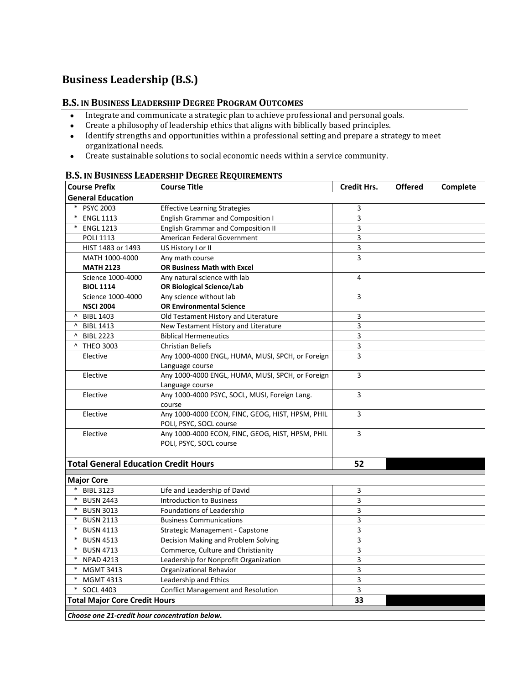## **Business Leadership (B.S.)**

## **B.S. IN BUSINESS LEADERSHIP DEGREE PROGRAM OUTCOMES**

- Integrate and communicate a strategic plan to achieve professional and personal goals.
- Create a philosophy of leadership ethics that aligns with biblically based principles.
- Identify strengths and opportunities within a professional setting and prepare a strategy to meet organizational needs.
- Create sustainable solutions to social economic needs within a service community.

| <b>Course Prefix</b>                        | D.J. IN DUSINESS LEADERSHIF DEGREE REQUIREMENTS<br><b>Course Title</b>           | <b>Credit Hrs.</b>           | <b>Offered</b> | Complete |
|---------------------------------------------|----------------------------------------------------------------------------------|------------------------------|----------------|----------|
| <b>General Education</b>                    |                                                                                  |                              |                |          |
| <b>PSYC 2003</b>                            |                                                                                  |                              |                |          |
| $\ast$<br><b>ENGL 1113</b>                  | <b>Effective Learning Strategies</b><br><b>English Grammar and Composition I</b> | 3<br>$\overline{\mathbf{3}}$ |                |          |
| *<br><b>ENGL 1213</b>                       | <b>English Grammar and Composition II</b>                                        | 3                            |                |          |
| <b>POLI 1113</b>                            | American Federal Government                                                      | 3                            |                |          |
|                                             |                                                                                  |                              |                |          |
| HIST 1483 or 1493                           | US History I or II                                                               | 3<br>3                       |                |          |
| MATH 1000-4000<br><b>MATH 2123</b>          | Any math course<br><b>OR Business Math with Excel</b>                            |                              |                |          |
| Science 1000-4000                           | Any natural science with lab                                                     | 4                            |                |          |
| <b>BIOL 1114</b>                            | <b>OR Biological Science/Lab</b>                                                 |                              |                |          |
| Science 1000-4000                           | Any science without lab                                                          | 3                            |                |          |
| <b>NSCI 2004</b>                            | <b>OR Environmental Science</b>                                                  |                              |                |          |
| <b>BIBL 1403</b>                            | Old Testament History and Literature                                             | 3                            |                |          |
| ^ BIBL 1413                                 | New Testament History and Literature                                             | 3                            |                |          |
| ^ BIBL 2223                                 | <b>Biblical Hermeneutics</b>                                                     | 3                            |                |          |
| ^ THEO 3003                                 | <b>Christian Beliefs</b>                                                         | 3                            |                |          |
| Elective                                    | Any 1000-4000 ENGL, HUMA, MUSI, SPCH, or Foreign                                 | $\overline{3}$               |                |          |
|                                             | Language course                                                                  |                              |                |          |
| Elective                                    | Any 1000-4000 ENGL, HUMA, MUSI, SPCH, or Foreign                                 | 3                            |                |          |
|                                             | Language course                                                                  |                              |                |          |
| Elective                                    | Any 1000-4000 PSYC, SOCL, MUSI, Foreign Lang.                                    | 3                            |                |          |
|                                             | course                                                                           |                              |                |          |
| Elective                                    | Any 1000-4000 ECON, FINC, GEOG, HIST, HPSM, PHIL                                 | 3                            |                |          |
|                                             | POLI, PSYC, SOCL course                                                          |                              |                |          |
| Elective                                    | Any 1000-4000 ECON, FINC, GEOG, HIST, HPSM, PHIL                                 | 3                            |                |          |
|                                             | POLI, PSYC, SOCL course                                                          |                              |                |          |
|                                             |                                                                                  |                              |                |          |
| <b>Total General Education Credit Hours</b> |                                                                                  | 52                           |                |          |
| <b>Major Core</b>                           |                                                                                  |                              |                |          |
| <b>BIBL 3123</b>                            | Life and Leadership of David                                                     | 3                            |                |          |
| <b>BUSN 2443</b>                            | <b>Introduction to Business</b>                                                  | 3                            |                |          |
| $\ast$<br><b>BUSN 3013</b>                  | Foundations of Leadership                                                        | 3                            |                |          |
| $\ast$<br><b>BUSN 2113</b>                  | <b>Business Communications</b>                                                   | 3                            |                |          |
| $\ast$<br><b>BUSN 4113</b>                  | Strategic Management - Capstone                                                  | 3                            |                |          |
| $\ast$<br><b>BUSN 4513</b>                  | Decision Making and Problem Solving                                              | 3                            |                |          |
| $\ast$<br><b>BUSN 4713</b>                  | Commerce, Culture and Christianity                                               | 3                            |                |          |
| * NPAD 4213                                 | Leadership for Nonprofit Organization                                            | 3                            |                |          |
| <b>MGMT 3413</b>                            | Organizational Behavior                                                          | 3                            |                |          |
| <b>MGMT 4313</b><br>$\ast$                  | Leadership and Ethics                                                            | 3                            |                |          |
| <b>SOCL 4403</b>                            | <b>Conflict Management and Resolution</b>                                        | 3                            |                |          |
| <b>Total Major Core Credit Hours</b>        |                                                                                  | 33                           |                |          |
|                                             |                                                                                  |                              |                |          |

## **B.S. IN BUSINESS LEADERSHIP DEGREE REQUIREMENTS**

*Choose one 21-credit hour concentration below.*